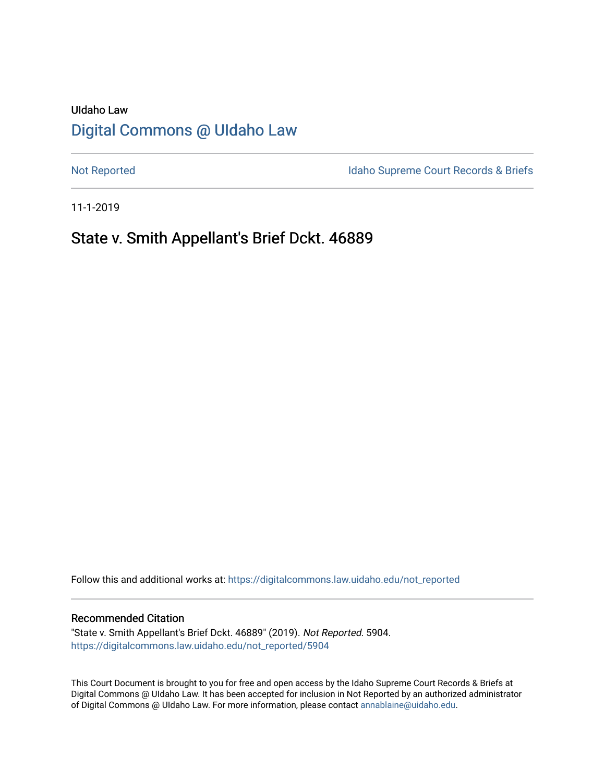# UIdaho Law [Digital Commons @ UIdaho Law](https://digitalcommons.law.uidaho.edu/)

[Not Reported](https://digitalcommons.law.uidaho.edu/not_reported) **Idaho Supreme Court Records & Briefs** 

11-1-2019

# State v. Smith Appellant's Brief Dckt. 46889

Follow this and additional works at: [https://digitalcommons.law.uidaho.edu/not\\_reported](https://digitalcommons.law.uidaho.edu/not_reported?utm_source=digitalcommons.law.uidaho.edu%2Fnot_reported%2F5904&utm_medium=PDF&utm_campaign=PDFCoverPages) 

#### Recommended Citation

"State v. Smith Appellant's Brief Dckt. 46889" (2019). Not Reported. 5904. [https://digitalcommons.law.uidaho.edu/not\\_reported/5904](https://digitalcommons.law.uidaho.edu/not_reported/5904?utm_source=digitalcommons.law.uidaho.edu%2Fnot_reported%2F5904&utm_medium=PDF&utm_campaign=PDFCoverPages)

This Court Document is brought to you for free and open access by the Idaho Supreme Court Records & Briefs at Digital Commons @ UIdaho Law. It has been accepted for inclusion in Not Reported by an authorized administrator of Digital Commons @ UIdaho Law. For more information, please contact [annablaine@uidaho.edu](mailto:annablaine@uidaho.edu).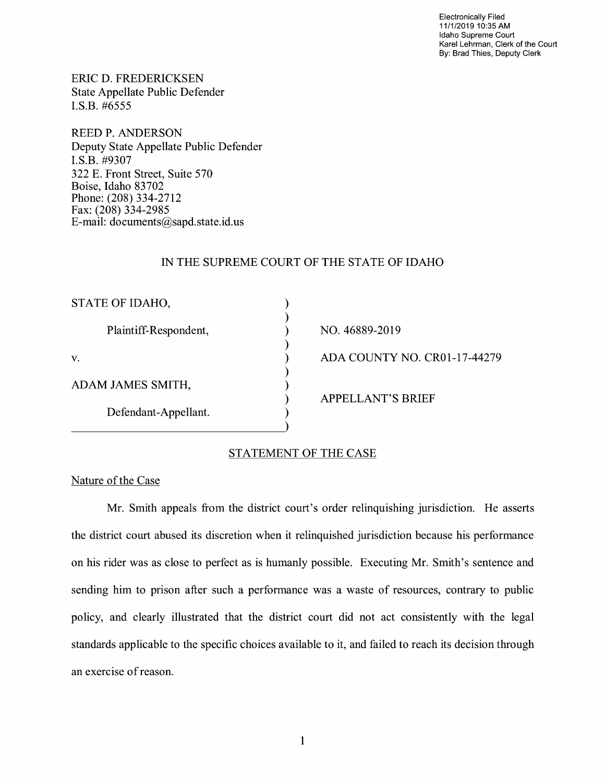Electronically Filed 11/1/2019 10:35 AM Idaho Supreme Court Karel Lehrman, Clerk of the Court By: Brad Thies, Deputy Clerk

ERIC D. FREDERICKSEN State Appellate Public Defender I.S.B. #6555

REED P. ANDERSON Deputy State Appellate Public Defender I.S.B. #9307 322 E. Front Street, Suite 570 Boise, Idaho 83702 Phone: (208) 334-2712 Fax: (208) 334-2985 E-mail: documents@sapd.state.id. us

# IN THE SUPREME COURT OF THE STATE OF IDAHO

) ) ) ) ) ) ) ) )

| STATE OF IDAHO,       |
|-----------------------|
| Plaintiff-Respondent, |
| V.                    |
| ADAM JAMES SMITH,     |
| Defendant-Appellant.  |

# NO. 46889-2019 ADA COUNTY NO. CR0l-17-44279 APPELLANT'S BRIEF

# STATEMENT OF THE CASE

## Nature of the Case

Mr. Smith appeals from the district court's order relinquishing jurisdiction. He asserts the district court abused its discretion when it relinquished jurisdiction because his performance on his rider was as close to perfect as is humanly possible. Executing Mr. Smith's sentence and sending him to prison after such a performance was a waste of resources, contrary to public policy, and clearly illustrated that the district court did not act consistently with the legal standards applicable to the specific choices available to it, and failed to reach its decision through an exercise of reason.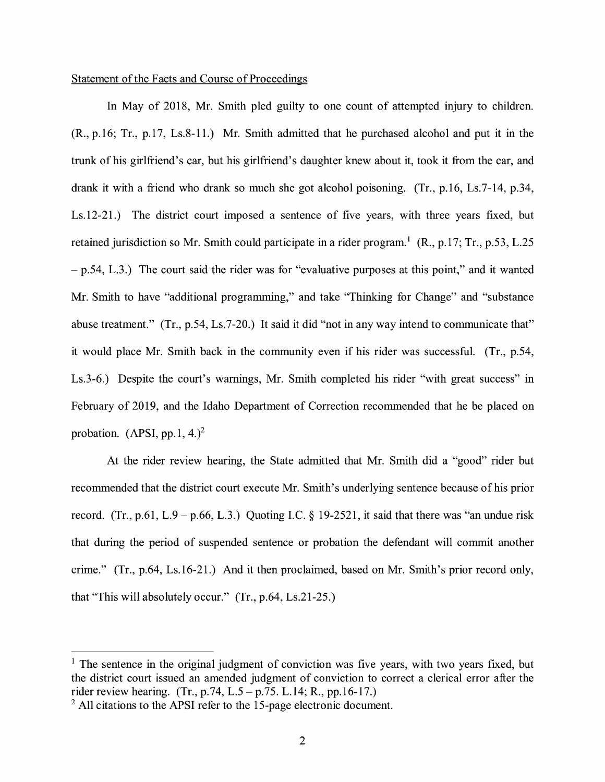# Statement of the Facts and Course of Proceedings

In May of 2018, Mr. Smith pled guilty to one count of attempted injury to children. (R.,p.16; Tr., p.17, Ls.8-11.) Mr. Smith admitted that he purchased alcohol and put it in the trunk of his girlfriend's car, but his girlfriend's daughter knew about it, took it from the car, and drank it with a friend who drank so much she got alcohol poisoning. (Tr., p.16, Ls.7-14, p.34, Ls.12-21.) The district court imposed a sentence of five years, with three years fixed, but retained jurisdiction so Mr. Smith could participate in a rider program.<sup>1</sup> (R., p.17; Tr., p.53, L.25) - p.54, L.3.) The court said the rider was for "evaluative purposes at this point," and it wanted Mr. Smith to have "additional programming," and take "Thinking for Change" and "substance abuse treatment." (Tr., p.54, Ls.7-20.) It said it did "not in any way intend to communicate that" it would place Mr. Smith back in the community even if his rider was successful. (Tr., p.54, Ls.3-6.) Despite the court's warnings, Mr. Smith completed his rider "with great success" in February of 2019, and the Idaho Department of Correction recommended that he be placed on probation. (APSI, pp.1, 4.)<sup>2</sup>

At the rider review hearing, the State admitted that Mr. Smith did a "good" rider but recommended that the district court execute Mr. Smith's underlying sentence because of his prior record. (Tr., p.61, L.9 – p.66, L.3.) Quoting I.C. § 19-2521, it said that there was "an undue risk that during the period of suspended sentence or probation the defendant will commit another crime." (Tr., p.64, Ls.16-21.) And it then proclaimed, based on Mr. Smith's prior record only, that "This will absolutely occur." (Tr., p.64, Ls.21-25.)

 $<sup>1</sup>$  The sentence in the original judgment of conviction was five years, with two years fixed, but</sup> the district court issued an amended judgment of conviction to correct a clerical error after the rider review hearing. (Tr., p.74, L.5 - p.75. L.14; R., pp.16-17.)

<sup>&</sup>lt;sup>2</sup> All citations to the APSI refer to the 15-page electronic document.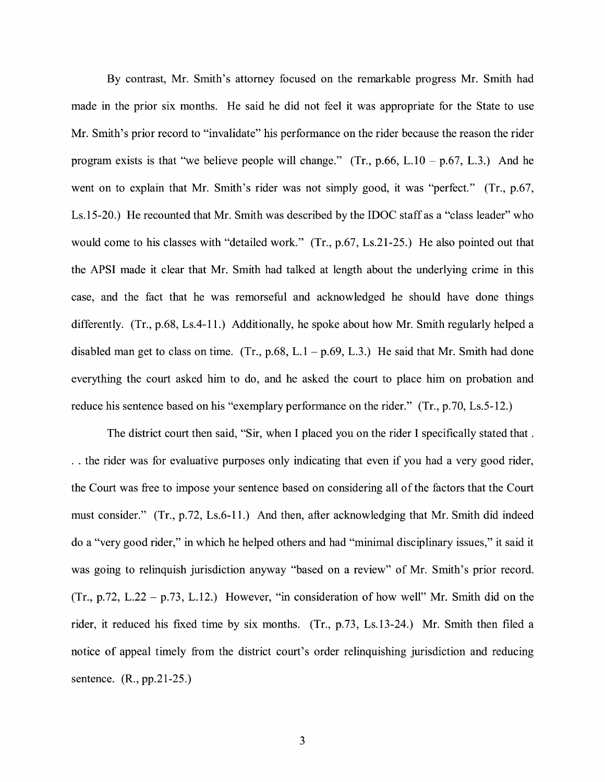By contrast, Mr. Smith's attorney focused on the remarkable progress Mr. Smith had made in the prior six months. He said he did not feel it was appropriate for the State to use Mr. Smith's prior record to "invalidate" his performance on the rider because the reason the rider program exists is that "we believe people will change." (Tr.,  $p.66$ , L.10 –  $p.67$ , L.3.) And he went on to explain that Mr. Smith's rider was not simply good, it was "perfect." (Tr., p.67, Ls.15-20.) He recounted that Mr. Smith was described by the IDOC staff as a "class leader" who would come to his classes with "detailed work." (Tr., p.67, Ls.21-25.) He also pointed out that the APSI made it clear that Mr. Smith had talked at length about the underlying crime in this case, and the fact that he was remorseful and acknowledged he should have done things differently. (Tr., p.68, Ls.4-11.) Additionally, he spoke about how Mr. Smith regularly helped a disabled man get to class on time. (Tr., p.68, L.1 – p.69, L.3.) He said that Mr. Smith had done everything the court asked him to do, and he asked the court to place him on probation and reduce his sentence based on his "exemplary performance on the rider." (Tr., p.70, Ls.5-12.)

The district court then said, "Sir, when I placed you on the rider I specifically stated that . . . the rider was for evaluative purposes only indicating that even if you had a very good rider, the Court was free to impose your sentence based on considering all of the factors that the Court must consider." (Tr., p.72, Ls.6-11.) And then, after acknowledging that Mr. Smith did indeed do a "very good rider," in which he helped others and had "minimal disciplinary issues," it said it was going to relinquish jurisdiction anyway "based on a review" of Mr. Smith's prior record.  $(Tr., p.72, L.22 - p.73, L.12.)$  However, "in consideration of how well" Mr. Smith did on the rider, it reduced his fixed time by six months. (Tr., p.73, Ls.13-24.) Mr. Smith then filed a notice of appeal timely from the district court's order relinquishing jurisdiction and reducing sentence. (R., pp.21-25.)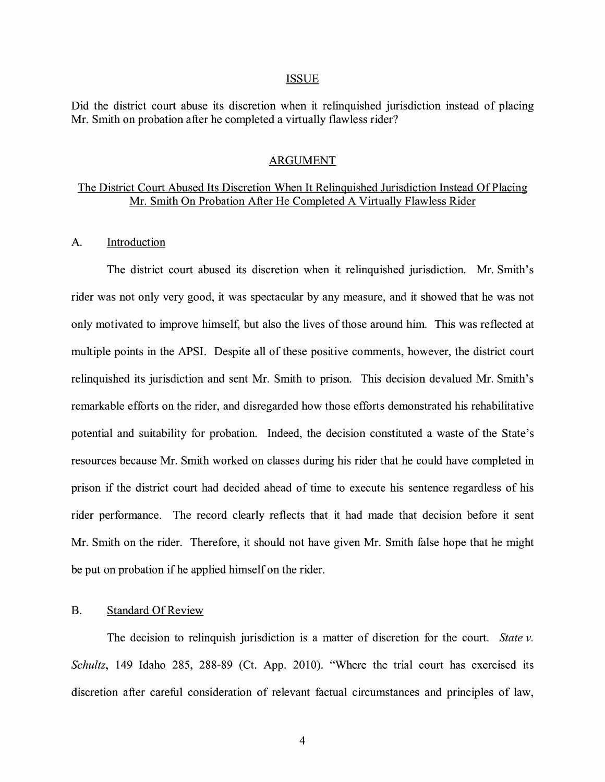#### ISSUE

Did the district court abuse its discretion when it relinquished jurisdiction instead of placing Mr. Smith on probation after he completed a virtually flawless rider?

#### ARGUMENT

# The District Court Abused Its Discretion When It Relinquished Jurisdiction Instead Of Placing Mr. Smith On Probation After He Completed A Virtually Flawless Rider

#### A. Introduction

The district court abused its discretion when it relinquished jurisdiction. Mr. Smith's rider was not only very good, it was spectacular by any measure, and it showed that he was not only motivated to improve himself, but also the lives of those around him. This was reflected at multiple points in the APSI. Despite all of these positive comments, however, the district court relinquished its jurisdiction and sent Mr. Smith to prison. This decision devalued Mr. Smith's remarkable efforts on the rider, and disregarded how those efforts demonstrated his rehabilitative potential and suitability for probation. Indeed, the decision constituted a waste of the State's resources because Mr. Smith worked on classes during his rider that he could have completed in prison if the district court had decided ahead of time to execute his sentence regardless of his rider performance. The record clearly reflects that it had made that decision before it sent Mr. Smith on the rider. Therefore, it should not have given Mr. Smith false hope that he might be put on probation if he applied himself on the rider.

## B. Standard Of Review

The decision to relinquish jurisdiction is a matter of discretion for the court. *State v. Schultz,* 149 Idaho 285, 288-89 (Ct. App. 2010). "Where the trial court has exercised its discretion after careful consideration of relevant factual circumstances and principles of law,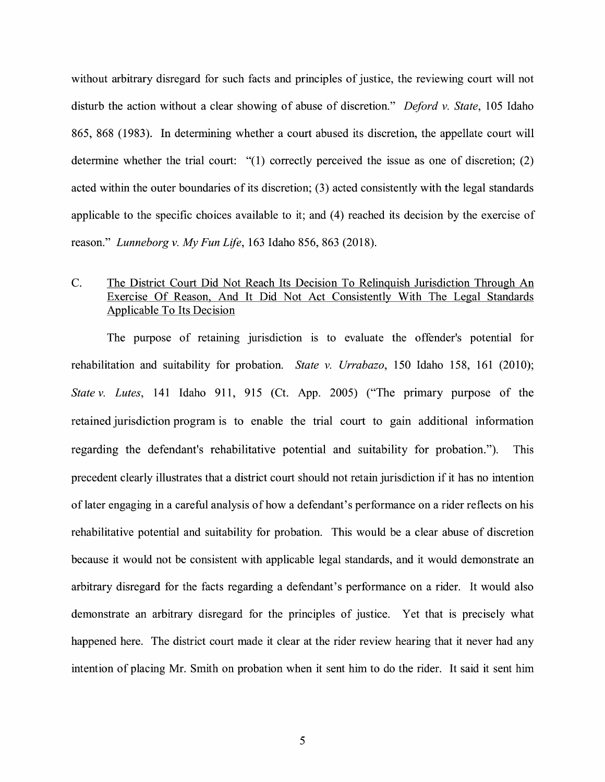without arbitrary disregard for such facts and principles of justice, the reviewing court will not disturb the action without a clear showing of abuse of discretion." *Deford v. State,* 105 Idaho 865, 868 (1983). In determining whether a court abused its discretion, the appellate court will determine whether the trial court: "(1) correctly perceived the issue as one of discretion; (2) acted within the outer boundaries of its discretion; (3) acted consistently with the legal standards applicable to the specific choices available to it; and (4) reached its decision by the exercise of reason." *Lunneborg v. My Fun Life,* 163 Idaho 856, 863 (2018).

# C. The District Court Did Not Reach Its Decision To Relinquish Jurisdiction Through An Exercise Of Reason, And It Did Not Act Consistently With The Legal Standards Applicable To Its Decision

The purpose of retaining jurisdiction is to evaluate the offender's potential for rehabilitation and suitability for probation. *State v. Urrabazo,* 150 Idaho 158, 161 (2010); *State v. Lutes,* 141 Idaho 911, 915 (Ct. App. 2005) ("The primary purpose of the retained jurisdiction program is to enable the trial court to gain additional information regarding the defendant's rehabilitative potential and suitability for probation."). This precedent clearly illustrates that a district court should not retain jurisdiction if it has no intention oflater engaging in a careful analysis of how a defendant's performance on a rider reflects on his rehabilitative potential and suitability for probation. This would be a clear abuse of discretion because it would not be consistent with applicable legal standards, and it would demonstrate an arbitrary disregard for the facts regarding a defendant's performance on a rider. It would also demonstrate an arbitrary disregard for the principles of justice. Yet that is precisely what happened here. The district court made it clear at the rider review hearing that it never had any intention of placing Mr. Smith on probation when it sent him to do the rider. It said it sent him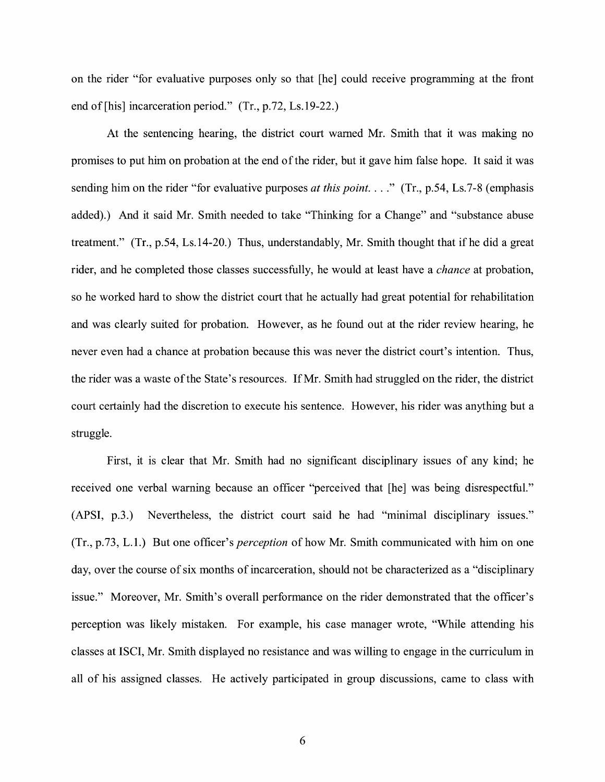on the rider "for evaluative purposes only so that [he] could receive programming at the front end of [his] incarceration period." (Tr., p.72, Ls.19-22.)

At the sentencing hearing, the district court warned Mr. Smith that it was making no promises to put him on probation at the end of the rider, but it gave him false hope. It said it was sending him on the rider "for evaluative purposes *at this point...*." (Tr., p.54, Ls.7-8 (emphasis added).) And it said Mr. Smith needed to take "Thinking for a Change" and "substance abuse treatment." (Tr., p.54, Ls.14-20.) Thus, understandably, Mr. Smith thought that ifhe did a great rider, and he completed those classes successfully, he would at least have a *chance* at probation, so he worked hard to show the district court that he actually had great potential for rehabilitation and was clearly suited for probation. However, as he found out at the rider review hearing, he never even had a chance at probation because this was never the district court's intention. Thus, the rider was a waste of the State's resources. If Mr. Smith had struggled on the rider, the district court certainly had the discretion to execute his sentence. However, his rider was anything but a struggle.

First, it is clear that Mr. Smith had no significant disciplinary issues of any kind; he received one verbal warning because an officer "perceived that [he] was being disrespectful." (APSI, p.3.) Nevertheless, the district court said he had "minimal disciplinary issues." (Tr., p.73, L.1.) But one officer's *perception* of how Mr. Smith communicated with him on one day, over the course of six months of incarceration, should not be characterized as a "disciplinary issue." Moreover, Mr. Smith's overall performance on the rider demonstrated that the officer's perception was likely mistaken. For example, his case manager wrote, "While attending his classes at ISCI, Mr. Smith displayed no resistance and was willing to engage in the curriculum in all of his assigned classes. He actively participated in group discussions, came to class with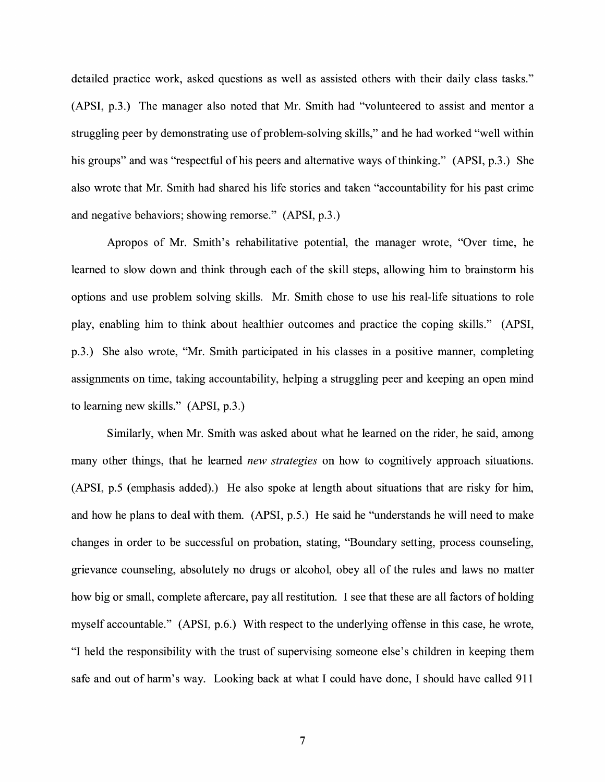detailed practice work, asked questions as well as assisted others with their daily class tasks." (APSI, p.3.) The manager also noted that Mr. Smith had "volunteered to assist and mentor a struggling peer by demonstrating use of problem-solving skills," and he had worked "well within his groups" and was "respectful of his peers and alternative ways of thinking." (APSI, p.3.) She also wrote that Mr. Smith had shared his life stories and taken "accountability for his past crime and negative behaviors; showing remorse." (APSI, p.3.)

Apropos of Mr. Smith's rehabilitative potential, the manager wrote, "Over time, he learned to slow down and think through each of the skill steps, allowing him to brainstorm his options and use problem solving skills. Mr. Smith chose to use his real-life situations to role play, enabling him to think about healthier outcomes and practice the coping skills." (APSI, p.3.) She also wrote, "Mr. Smith participated in his classes in a positive manner, completing assignments on time, taking accountability, helping a struggling peer and keeping an open mind to learning new skills." (APSI, p.3.)

Similarly, when Mr. Smith was asked about what he learned on the rider, he said, among many other things, that he learned *new strategies* on how to cognitively approach situations. (APSI, p.5 (emphasis added).) He also spoke at length about situations that are risky for him, and how he plans to deal with them. (APSI, p.5.) He said he ''understands he will need to make changes in order to be successful on probation, stating, "Boundary setting, process counseling, grievance counseling, absolutely no drugs or alcohol, obey all of the rules and laws no matter how big or small, complete aftercare, pay all restitution. I see that these are all factors of holding myself accountable." (APSI, p.6.) With respect to the underlying offense in this case, he wrote, "I held the responsibility with the trust of supervising someone else's children in keeping them safe and out of harm's way. Looking back at what I could have done, I should have called 911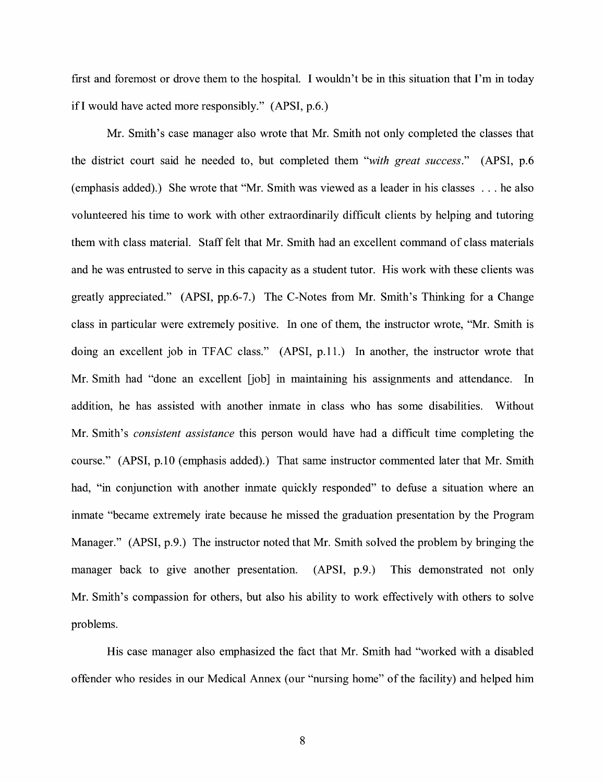first and foremost or drove them to the hospital. I wouldn't be in this situation that I'm in today ifl would have acted more responsibly." (APSI, p.6.)

Mr. Smith's case manager also wrote that Mr. Smith not only completed the classes that the district court said he needed to, but completed them *"with great success."* (APSI, p.6 (emphasis added).) She wrote that "Mr. Smith was viewed as a leader in his classes ... he also volunteered his time to work with other extraordinarily difficult clients by helping and tutoring them with class material. Staff felt that Mr. Smith had an excellent command of class materials and he was entrusted to serve in this capacity as a student tutor. His work with these clients was greatly appreciated." (APSI, pp.6-7.) The C-Notes from Mr. Smith's Thinking for a Change class in particular were extremely positive. In one of them, the instructor wrote, "Mr. Smith is doing an excellent job in TFAC class." (APSI, p.11.) In another, the instructor wrote that Mr. Smith had "done an excellent [job] in maintaining his assignments and attendance. In addition, he has assisted with another inmate in class who has some disabilities. Without Mr. Smith's *consistent assistance* this person would have had a difficult time completing the course." (APSI, p.10 (emphasis added).) That same instructor commented later that Mr. Smith had, "in conjunction with another inmate quickly responded" to defuse a situation where an inmate "became extremely irate because he missed the graduation presentation by the Program Manager." (APSI, p.9.) The instructor noted that Mr. Smith solved the problem by bringing the manager back to give another presentation. (APSI, p.9.) This demonstrated not only Mr. Smith's compassion for others, but also his ability to work effectively with others to solve problems.

His case manager also emphasized the fact that Mr. Smith had "worked with a disabled offender who resides in our Medical Annex ( our "nursing home" of the facility) and helped him

8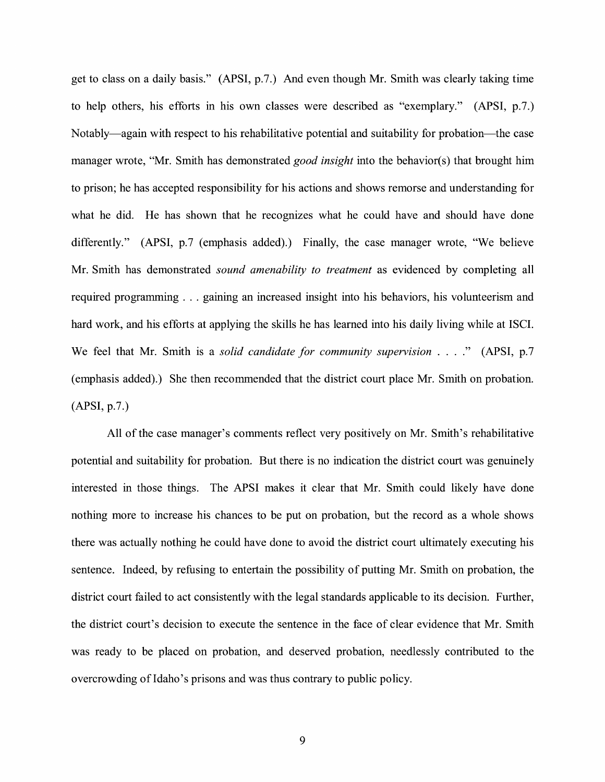get to class on a daily basis." (APSI, p.7.) And even though Mr. Smith was clearly taking time to help others, his efforts in his own classes were described as "exemplary." (APSI, p.7.) Notably-again with respect to his rehabilitative potential and suitability for probation-the case manager wrote, "Mr. Smith has demonstrated *good insight* into the behavior(s) that brought him to prison; he has accepted responsibility for his actions and shows remorse and understanding for what he did. He has shown that he recognizes what he could have and should have done differently." (APSI, p.7 (emphasis added).) Finally, the case manager wrote, "We believe Mr. Smith has demonstrated *sound amenability to treatment* as evidenced by completing all required programming ... gaining an increased insight into his behaviors, his volunteerism and hard work, and his efforts at applying the skills he has learned into his daily living while at ISCI. We feel that Mr. Smith is a *solid candidate for community supervision* .... " (APSI, p.7 (emphasis added).) She then recommended that the district court place Mr. Smith on probation. (APSI, p.7.)

All of the case manager's comments reflect very positively on Mr. Smith's rehabilitative potential and suitability for probation. But there is no indication the district court was genuinely interested in those things. The APSI makes it clear that Mr. Smith could likely have done nothing more to increase his chances to be put on probation, but the record as a whole shows there was actually nothing he could have done to avoid the district court ultimately executing his sentence. Indeed, by refusing to entertain the possibility of putting Mr. Smith on probation, the district court failed to act consistently with the legal standards applicable to its decision. Further, the district court's decision to execute the sentence in the face of clear evidence that Mr. Smith was ready to be placed on probation, and deserved probation, needlessly contributed to the overcrowding of Idaho's prisons and was thus contrary to public policy.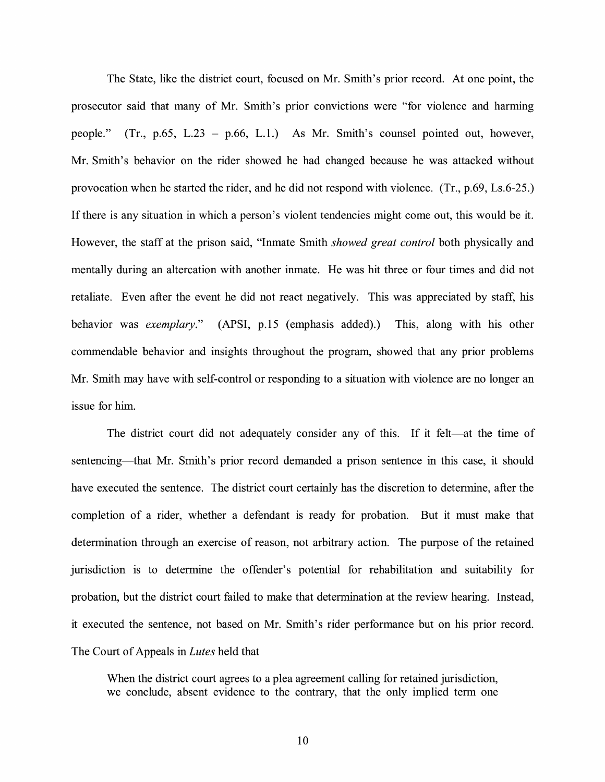The State, like the district court, focused on Mr. Smith's prior record. At one point, the prosecutor said that many of Mr. Smith's prior convictions were "for violence and harming people." (Tr., p.65, L.23 - p.66, L.1.) As Mr. Smith's counsel pointed out, however, Mr. Smith's behavior on the rider showed he had changed because he was attacked without provocation when he started the rider, and he did not respond with violence. (Tr., p.69, Ls.6-25.) If there is any situation in which a person's violent tendencies might come out, this would be it. However, the staff at the prison said, "Inmate Smith *showed great control* both physically and mentally during an altercation with another inmate. He was hit three or four times and did not retaliate. Even after the event he did not react negatively. This was appreciated by staff, his behavior was *exemplary."* (APSI, p.15 (emphasis added).) This, along with his other commendable behavior and insights throughout the program, showed that any prior problems Mr. Smith may have with self-control or responding to a situation with violence are no longer an issue for him.

The district court did not adequately consider any of this. If it felt—at the time of sentencing—that Mr. Smith's prior record demanded a prison sentence in this case, it should have executed the sentence. The district court certainly has the discretion to determine, after the completion of a rider, whether a defendant is ready for probation. But it must make that determination through an exercise of reason, not arbitrary action. The purpose of the retained jurisdiction is to determine the offender's potential for rehabilitation and suitability for probation, but the district court failed to make that determination at the review hearing. Instead, it executed the sentence, not based on Mr. Smith's rider performance but on his prior record. The Court of Appeals in *Lutes* held that

When the district court agrees to a plea agreement calling for retained jurisdiction, we conclude, absent evidence to the contrary, that the only implied term one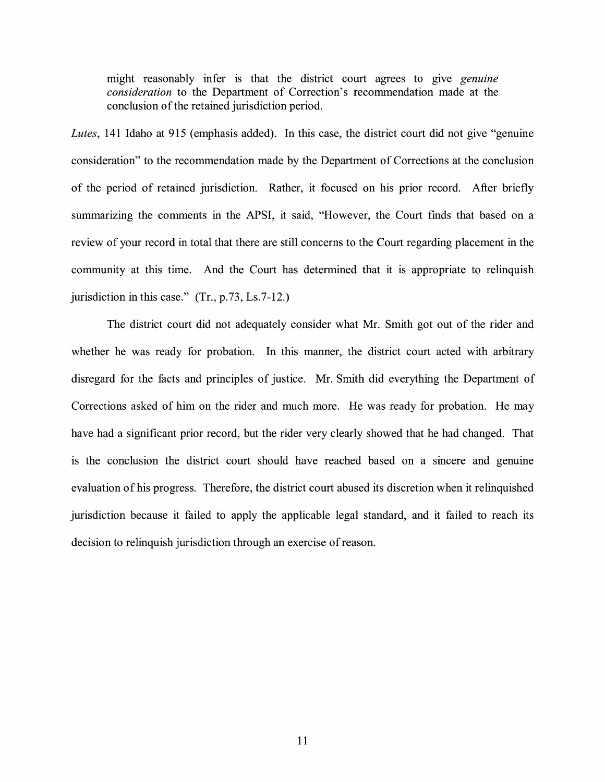might reasonably infer is that the district court agrees to give *genuine consideration* to the Department of Correction's recommendation made at the conclusion of the retained jurisdiction period.

*Lutes,* 141 Idaho at 915 (emphasis added). In this case, the district court did not give "genuine consideration" to the recommendation made by the Department of Corrections at the conclusion of the period of retained jurisdiction. Rather, it focused on his prior record. After briefly summarizing the comments in the APSI, it said, "However, the Court finds that based on a review of your record in total that there are still concerns to the Court regarding placement in the community at this time. And the Court has determined that it is appropriate to relinquish jurisdiction in this case." (Tr., p.73, Ls.7-12.)

The district court did not adequately consider what Mr. Smith got out of the rider and whether he was ready for probation. In this manner, the district court acted with arbitrary disregard for the facts and principles of justice. Mr. Smith did everything the Department of Corrections asked of him on the rider and much more. He was ready for probation. He may have had a significant prior record, but the rider very clearly showed that he had changed. That is the conclusion the district court should have reached based on a sincere and genuine evaluation of his progress. Therefore, the district court abused its discretion when it relinquished jurisdiction because it failed to apply the applicable legal standard, and it failed to reach its decision to relinquish jurisdiction through an exercise of reason.